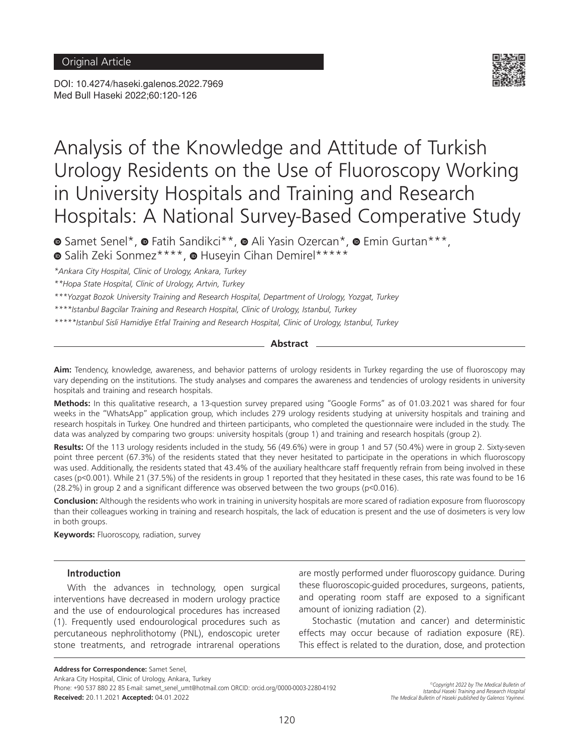DOI: 10.4274/haseki.galenos.2022.7969 Med Bull Haseki 2022;60:120-126



# Analysis of the Knowledge and Attitude of Turkish Urology Residents on the Use of Fluoroscopy Working in University Hospitals and Training and Research Hospitals: A National Survey-Based Comperative Study

**■**Samet Senel\*, ■ Fatih Sandikci\*\*, ■ Ali Yasin Ozercan\*, ■ Emin Gurtan\*\*\*, <sup>■</sup>Salih Zeki Sonmez\*\*\*\*, ■ Huseyin Cihan Demirel\*\*\*\*\*

*\*Ankara City Hospital, Clinic of Urology, Ankara, Turkey*

*\*\*Hopa State Hospital, Clinic of Urology, Artvin, Turkey* 

*\*\*\*Yozgat Bozok University Training and Research Hospital, Department of Urology, Yozgat, Turkey*

*\*\*\*\*Istanbul Bagcilar Training and Research Hospital, Clinic of Urology, Istanbul, Turkey*

*\*\*\*\*\*Istanbul Sisli Hamidiye Etfal Training and Research Hospital, Clinic of Urology, Istanbul, Turkey*

**Abstract**

**Aim:** Tendency, knowledge, awareness, and behavior patterns of urology residents in Turkey regarding the use of fluoroscopy may vary depending on the institutions. The study analyses and compares the awareness and tendencies of urology residents in university hospitals and training and research hospitals.

**Methods:** In this qualitative research, a 13-question survey prepared using "Google Forms" as of 01.03.2021 was shared for four weeks in the "WhatsApp" application group, which includes 279 urology residents studying at university hospitals and training and research hospitals in Turkey. One hundred and thirteen participants, who completed the questionnaire were included in the study. The data was analyzed by comparing two groups: university hospitals (group 1) and training and research hospitals (group 2).

**Results:** Of the 113 urology residents included in the study, 56 (49.6%) were in group 1 and 57 (50.4%) were in group 2. Sixty-seven point three percent (67.3%) of the residents stated that they never hesitated to participate in the operations in which fluoroscopy was used. Additionally, the residents stated that 43.4% of the auxiliary healthcare staff frequently refrain from being involved in these cases (p<0.001). While 21 (37.5%) of the residents in group 1 reported that they hesitated in these cases, this rate was found to be 16 (28.2%) in group 2 and a significant difference was observed between the two groups (p<0.016).

**Conclusion:** Although the residents who work in training in university hospitals are more scared of radiation exposure from fluoroscopy than their colleagues working in training and research hospitals, the lack of education is present and the use of dosimeters is very low in both groups.

**Keywords:** Fluoroscopy, radiation, survey

## **Introduction**

With the advances in technology, open surgical interventions have decreased in modern urology practice and the use of endourological procedures has increased (1). Frequently used endourological procedures such as percutaneous nephrolithotomy (PNL), endoscopic ureter stone treatments, and retrograde intrarenal operations are mostly performed under fluoroscopy guidance. During these fluoroscopic-guided procedures, surgeons, patients, and operating room staff are exposed to a significant amount of ionizing radiation (2).

Stochastic (mutation and cancer) and deterministic effects may occur because of radiation exposure (RE). This effect is related to the duration, dose, and protection

**Address for Correspondence:** Samet Senel,

Ankara City Hospital, Clinic of Urology, Ankara, Turkey

Phone: +90 537 880 22 85 E-mail: samet\_senel\_umt@hotmail.com ORCID: orcid.org/0000-0003-2280-4192 **Received:** 20.11.2021 **Accepted:** 04.01.2022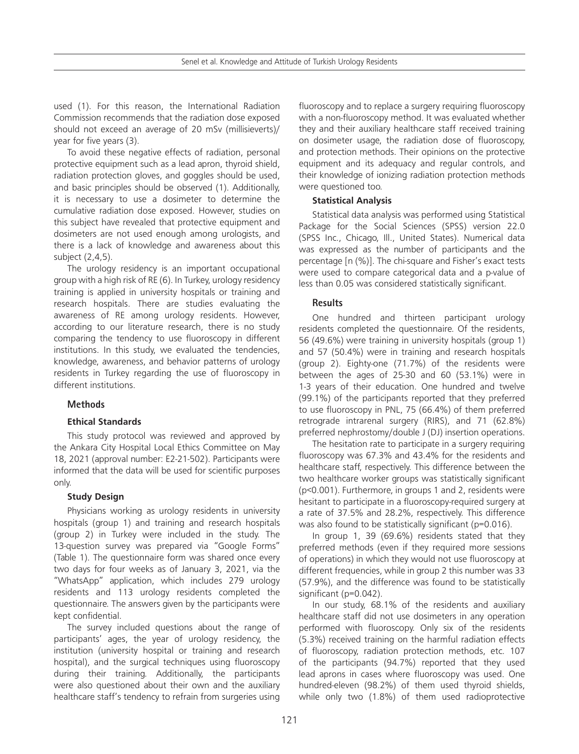used (1). For this reason, the International Radiation Commission recommends that the radiation dose exposed should not exceed an average of 20 mSv (millisieverts)/ year for five years (3).

To avoid these negative effects of radiation, personal protective equipment such as a lead apron, thyroid shield, radiation protection gloves, and goggles should be used, and basic principles should be observed (1). Additionally, it is necessary to use a dosimeter to determine the cumulative radiation dose exposed. However, studies on this subject have revealed that protective equipment and dosimeters are not used enough among urologists, and there is a lack of knowledge and awareness about this subject (2,4,5).

The urology residency is an important occupational group with a high risk of RE (6). In Turkey, urology residency training is applied in university hospitals or training and research hospitals. There are studies evaluating the awareness of RE among urology residents. However, according to our literature research, there is no study comparing the tendency to use fluoroscopy in different institutions. In this study, we evaluated the tendencies, knowledge, awareness, and behavior patterns of urology residents in Turkey regarding the use of fluoroscopy in different institutions.

# **Methods**

## **Ethical Standards**

This study protocol was reviewed and approved by the Ankara City Hospital Local Ethics Committee on May 18, 2021 (approval number: E2-21-502). Participants were informed that the data will be used for scientific purposes only.

## **Study Design**

Physicians working as urology residents in university hospitals (group 1) and training and research hospitals (group 2) in Turkey were included in the study. The 13-question survey was prepared via "Google Forms" (Table 1). The questionnaire form was shared once every two days for four weeks as of January 3, 2021, via the "WhatsApp" application, which includes 279 urology residents and 113 urology residents completed the questionnaire. The answers given by the participants were kept confidential.

The survey included questions about the range of participants' ages, the year of urology residency, the institution (university hospital or training and research hospital), and the surgical techniques using fluoroscopy during their training. Additionally, the participants were also questioned about their own and the auxiliary healthcare staff's tendency to refrain from surgeries using

fluoroscopy and to replace a surgery requiring fluoroscopy with a non-fluoroscopy method. It was evaluated whether they and their auxiliary healthcare staff received training on dosimeter usage, the radiation dose of fluoroscopy, and protection methods. Their opinions on the protective equipment and its adequacy and regular controls, and their knowledge of ionizing radiation protection methods were questioned too.

# **Statistical Analysis**

Statistical data analysis was performed using Statistical Package for the Social Sciences (SPSS) version 22.0 (SPSS Inc., Chicago, Ill., United States). Numerical data was expressed as the number of participants and the percentage [n (%)]. The chi-square and Fisher's exact tests were used to compare categorical data and a p-value of less than 0.05 was considered statistically significant.

# **Results**

One hundred and thirteen participant urology residents completed the questionnaire. Of the residents, 56 (49.6%) were training in university hospitals (group 1) and 57 (50.4%) were in training and research hospitals (group 2). Eighty-one (71.7%) of the residents were between the ages of 25-30 and 60 (53.1%) were in 1-3 years of their education. One hundred and twelve (99.1%) of the participants reported that they preferred to use fluoroscopy in PNL, 75 (66.4%) of them preferred retrograde intrarenal surgery (RIRS), and 71 (62.8%) preferred nephrostomy/double J (DJ) insertion operations.

The hesitation rate to participate in a surgery requiring fluoroscopy was 67.3% and 43.4% for the residents and healthcare staff, respectively. This difference between the two healthcare worker groups was statistically significant (p<0.001). Furthermore, in groups 1 and 2, residents were hesitant to participate in a fluoroscopy-required surgery at a rate of 37.5% and 28.2%, respectively. This difference was also found to be statistically significant (p=0.016).

In group 1, 39 (69.6%) residents stated that they preferred methods (even if they required more sessions of operations) in which they would not use fluoroscopy at different frequencies, while in group 2 this number was 33 (57.9%), and the difference was found to be statistically significant (p=0.042).

In our study, 68.1% of the residents and auxiliary healthcare staff did not use dosimeters in any operation performed with fluoroscopy. Only six of the residents (5.3%) received training on the harmful radiation effects of fluoroscopy, radiation protection methods, etc. 107 of the participants (94.7%) reported that they used lead aprons in cases where fluoroscopy was used. One hundred-eleven (98.2%) of them used thyroid shields, while only two (1.8%) of them used radioprotective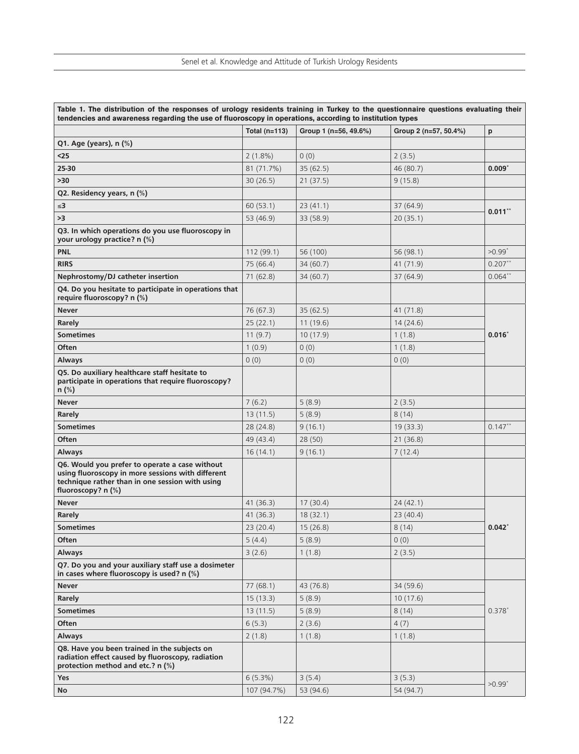|                                                                                                                                                                              | Total $(n=113)$ | Group 1 (n=56, 49.6%) | Group 2 (n=57, 50.4%) | p                    |
|------------------------------------------------------------------------------------------------------------------------------------------------------------------------------|-----------------|-----------------------|-----------------------|----------------------|
| Q1. Age (years), n (%)                                                                                                                                                       |                 |                       |                       |                      |
| $25$                                                                                                                                                                         |                 | 0(0)                  |                       |                      |
| 25-30                                                                                                                                                                        | $2(1.8\%)$      | 35(62.5)              | 2(3.5)<br>46 (80.7)   | $0.009*$             |
|                                                                                                                                                                              | 81 (71.7%)      |                       |                       |                      |
| >30                                                                                                                                                                          | 30(26.5)        | 21(37.5)              | 9(15.8)               |                      |
| Q2. Residency years, n (%)                                                                                                                                                   |                 |                       |                       |                      |
| $\leq 3$                                                                                                                                                                     | 60(53.1)        | 23(41.1)              | 37(64.9)              | $0.011$ **           |
| >3                                                                                                                                                                           | 53 (46.9)       | 33 (58.9)             | 20(35.1)              |                      |
| Q3. In which operations do you use fluoroscopy in<br>your urology practice? n (%)                                                                                            |                 |                       |                       |                      |
| PNL                                                                                                                                                                          | 112(99.1)       | 56 (100)              | 56 (98.1)             | $>0.99$ <sup>*</sup> |
| <b>RIRS</b>                                                                                                                                                                  | 75 (66.4)       | 34(60.7)              | 41 (71.9)             | $0.207**$            |
| Nephrostomy/DJ catheter insertion                                                                                                                                            | 71(62.8)        | 34 (60.7)             | 37 (64.9)             | $0.064**$            |
| Q4. Do you hesitate to participate in operations that<br>require fluoroscopy? n (%)                                                                                          |                 |                       |                       |                      |
| <b>Never</b>                                                                                                                                                                 | 76(67.3)        | 35(62.5)              | 41 (71.8)             | $0.016^*$            |
| Rarely                                                                                                                                                                       | 25(22.1)        | 11(19.6)              | 14(24.6)              |                      |
| <b>Sometimes</b>                                                                                                                                                             | 11(9.7)         | 10(17.9)              | 1(1.8)                |                      |
| Often                                                                                                                                                                        | 1(0.9)          | 0(0)                  | 1(1.8)                |                      |
| <b>Always</b>                                                                                                                                                                | 0(0)            | 0(0)                  | 0(0)                  |                      |
| Q5. Do auxiliary healthcare staff hesitate to<br>participate in operations that require fluoroscopy?<br>$n$ (%)                                                              |                 |                       |                       |                      |
| <b>Never</b>                                                                                                                                                                 | 7(6.2)          | 5(8.9)                | 2(3.5)                |                      |
| Rarely                                                                                                                                                                       | 13(11.5)        | 5(8.9)                | 8(14)                 |                      |
| <b>Sometimes</b>                                                                                                                                                             | 28(24.8)        | 9(16.1)               | 19(33.3)              | $0.147***$           |
| <b>Often</b>                                                                                                                                                                 | 49 (43.4)       | 28(50)                | 21(36.8)              |                      |
| <b>Always</b>                                                                                                                                                                | 16(14.1)        | 9(16.1)               | 7(12.4)               |                      |
| Q6. Would you prefer to operate a case without<br>using fluoroscopy in more sessions with different<br>technique rather than in one session with using<br>fluoroscopy? n (%) |                 |                       |                       |                      |
| <b>Never</b>                                                                                                                                                                 | 41(36.3)        | 17(30.4)              | 24 (42.1)             |                      |
| Rarely                                                                                                                                                                       | 41(36.3)        | 18(32.1)              | 23 (40.4)             |                      |
| <b>Sometimes</b>                                                                                                                                                             | 23(20.4)        | 15(26.8)              | 8(14)                 | $0.042^*$            |
| <b>Often</b>                                                                                                                                                                 | 5(4.4)          | 5(8.9)                | 0(0)                  |                      |
| <b>Always</b>                                                                                                                                                                | 3(2.6)          | 1(1.8)                | 2(3.5)                |                      |
| Q7. Do you and your auxiliary staff use a dosimeter<br>in cases where fluoroscopy is used? n (%)                                                                             |                 |                       |                       |                      |
| <b>Never</b>                                                                                                                                                                 | 77(68.1)        | 43 (76.8)             | 34 (59.6)             |                      |
| Rarely                                                                                                                                                                       | 15(13.3)        | 5(8.9)                | 10(17.6)              |                      |
| <b>Sometimes</b>                                                                                                                                                             | 13(11.5)        | 5(8.9)                | 8(14)                 | $0.378*$             |
| <b>Often</b>                                                                                                                                                                 | 6(5.3)          | 2(3.6)                | 4(7)                  |                      |
| <b>Always</b>                                                                                                                                                                | 2(1.8)          | 1(1.8)                | 1(1.8)                |                      |
| Q8. Have you been trained in the subjects on<br>radiation effect caused by fluoroscopy, radiation<br>protection method and etc.? n (%)                                       |                 |                       |                       |                      |
| Yes                                                                                                                                                                          | 6(5.3%)         | 3(5.4)                | 3(5.3)                | $>0.99$ <sup>*</sup> |
| No                                                                                                                                                                           | 107 (94.7%)     | 53 (94.6)             | 54 (94.7)             |                      |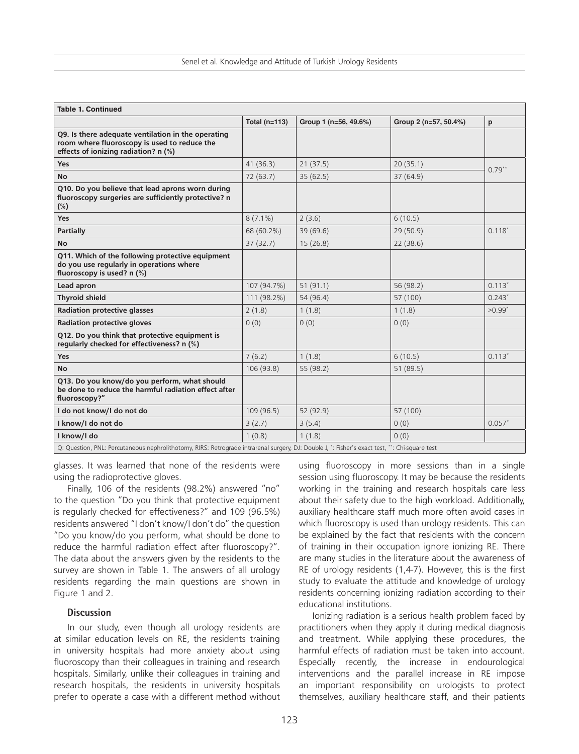| <b>Table 1. Continued</b>                                                                                                                      |                 |                       |                       |                      |  |  |
|------------------------------------------------------------------------------------------------------------------------------------------------|-----------------|-----------------------|-----------------------|----------------------|--|--|
|                                                                                                                                                | Total $(n=113)$ | Group 1 (n=56, 49.6%) | Group 2 (n=57, 50.4%) | p                    |  |  |
| Q9. Is there adequate ventilation in the operating<br>room where fluoroscopy is used to reduce the<br>effects of ionizing radiation? n (%)     |                 |                       |                       |                      |  |  |
| Yes                                                                                                                                            | 41(36.3)        | 21(37.5)              | 20(35.1)              | $0.79**$             |  |  |
| <b>No</b>                                                                                                                                      | 72(63.7)        | 35(62.5)              | 37 (64.9)             |                      |  |  |
| Q10. Do you believe that lead aprons worn during<br>fluoroscopy surgeries are sufficiently protective? n<br>$(\%)$                             |                 |                       |                       |                      |  |  |
| Yes                                                                                                                                            | $8(7.1\%)$      | 2(3.6)                | 6(10.5)               |                      |  |  |
| <b>Partially</b>                                                                                                                               | 68 (60.2%)      | 39(69.6)              | 29(50.9)              | $0.118*$             |  |  |
| <b>No</b>                                                                                                                                      | 37(32.7)        | 15(26.8)              | 22(38.6)              |                      |  |  |
| Q11. Which of the following protective equipment<br>do you use regularly in operations where<br>fluoroscopy is used? n (%)                     |                 |                       |                       |                      |  |  |
| Lead apron                                                                                                                                     | 107 (94.7%)     | 51(91.1)              | 56 (98.2)             | $0.113*$             |  |  |
| <b>Thyroid shield</b>                                                                                                                          | 111 (98.2%)     | 54 (96.4)             | 57 (100)              | $0.243*$             |  |  |
| <b>Radiation protective glasses</b>                                                                                                            | 2(1.8)          | 1(1.8)                | 1(1.8)                | $>0.99$ <sup>*</sup> |  |  |
| <b>Radiation protective gloves</b>                                                                                                             | 0(0)            | 0(0)                  | 0(0)                  |                      |  |  |
| Q12. Do you think that protective equipment is<br>regularly checked for effectiveness? n (%)                                                   |                 |                       |                       |                      |  |  |
| Yes                                                                                                                                            | 7(6.2)          | 1(1.8)                | 6(10.5)               | $0.113*$             |  |  |
| <b>No</b>                                                                                                                                      | 106 (93.8)      | 55 (98.2)             | 51 (89.5)             |                      |  |  |
| Q13. Do you know/do you perform, what should<br>be done to reduce the harmful radiation effect after<br>fluoroscopy?"                          |                 |                       |                       |                      |  |  |
| I do not know/I do not do                                                                                                                      | 109 (96.5)      | 52 (92.9)             | 57 (100)              |                      |  |  |
| I know/I do not do                                                                                                                             | 3(2.7)          | 3(5.4)                | 0(0)                  | $0.057*$             |  |  |
| I know/I do                                                                                                                                    | 1(0.8)          | 1(1.8)                | 0(0)                  |                      |  |  |
| Q: Question, PNL: Percutaneous nephrolithotomy, RIRS: Retrograde intrarenal surgery, DJ: Double J, *: Fisher's exact test, **: Chi-square test |                 |                       |                       |                      |  |  |

glasses. It was learned that none of the residents were using the radioprotective gloves.

Finally, 106 of the residents (98.2%) answered "no" to the question "Do you think that protective equipment is regularly checked for effectiveness?" and 109 (96.5%) residents answered "I don't know/I don't do" the question "Do you know/do you perform, what should be done to reduce the harmful radiation effect after fluoroscopy?". The data about the answers given by the residents to the survey are shown in Table 1. The answers of all urology residents regarding the main questions are shown in Figure 1 and 2.

#### **Discussion**

In our study, even though all urology residents are at similar education levels on RE, the residents training in university hospitals had more anxiety about using fluoroscopy than their colleagues in training and research hospitals. Similarly, unlike their colleagues in training and research hospitals, the residents in university hospitals prefer to operate a case with a different method without using fluoroscopy in more sessions than in a single session using fluoroscopy. It may be because the residents working in the training and research hospitals care less about their safety due to the high workload. Additionally, auxiliary healthcare staff much more often avoid cases in which fluoroscopy is used than urology residents. This can be explained by the fact that residents with the concern of training in their occupation ignore ionizing RE. There are many studies in the literature about the awareness of RE of urology residents (1,4-7). However, this is the first study to evaluate the attitude and knowledge of urology residents concerning ionizing radiation according to their educational institutions.

Ionizing radiation is a serious health problem faced by practitioners when they apply it during medical diagnosis and treatment. While applying these procedures, the harmful effects of radiation must be taken into account. Especially recently, the increase in endourological interventions and the parallel increase in RE impose an important responsibility on urologists to protect themselves, auxiliary healthcare staff, and their patients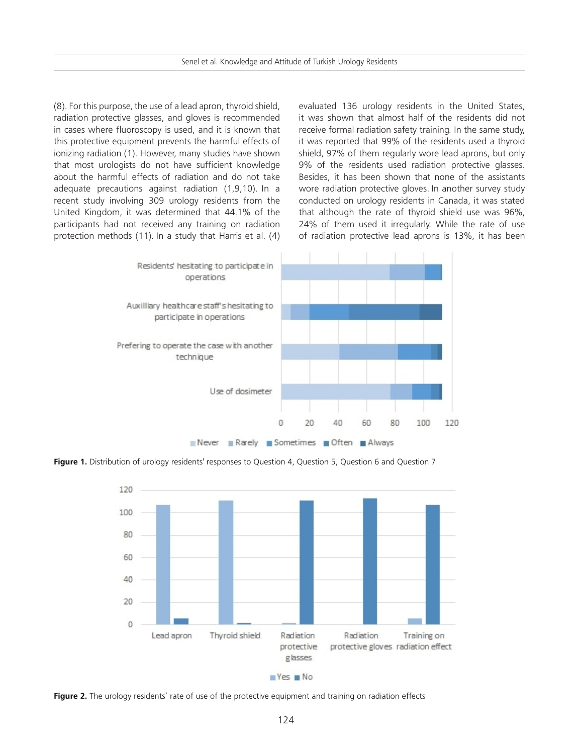Senel et al. Knowledge and Attitude of Turkish Urology Residents

(8). For this purpose, the use of a lead apron, thyroid shield, radiation protective glasses, and gloves is recommended in cases where fluoroscopy is used, and it is known that this protective equipment prevents the harmful effects of ionizing radiation (1). However, many studies have shown that most urologists do not have sufficient knowledge about the harmful effects of radiation and do not take adequate precautions against radiation (1,9,10). In a recent study involving 309 urology residents from the United Kingdom, it was determined that 44.1% of the participants had not received any training on radiation protection methods (11). In a study that Harris et al. (4) evaluated 136 urology residents in the United States, it was shown that almost half of the residents did not receive formal radiation safety training. In the same study, it was reported that 99% of the residents used a thyroid shield, 97% of them regularly wore lead aprons, but only 9% of the residents used radiation protective glasses. Besides, it has been shown that none of the assistants wore radiation protective gloves. In another survey study conducted on urology residents in Canada, it was stated that although the rate of thyroid shield use was 96%, 24% of them used it irregularly. While the rate of use of radiation protective lead aprons is 13%, it has been



**Figure 1.** Distribution of urology residents' responses to Question 4, Question 5, Question 6 and Question 7



**Figure 2.** The urology residents' rate of use of the protective equipment and training on radiation effects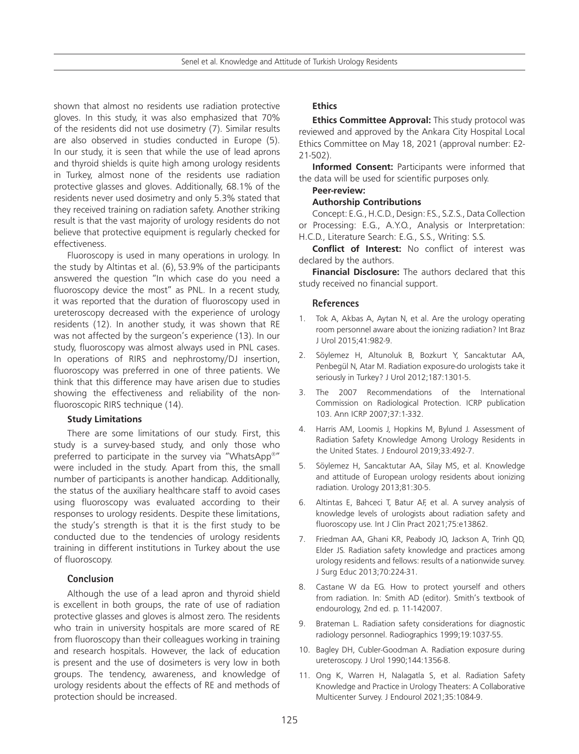Senel et al. Knowledge and Attitude of Turkish Urology Residents

shown that almost no residents use radiation protective gloves. In this study, it was also emphasized that 70% of the residents did not use dosimetry (7). Similar results are also observed in studies conducted in Europe (5). In our study, it is seen that while the use of lead aprons and thyroid shields is quite high among urology residents in Turkey, almost none of the residents use radiation protective glasses and gloves. Additionally, 68.1% of the residents never used dosimetry and only 5.3% stated that they received training on radiation safety. Another striking result is that the vast majority of urology residents do not believe that protective equipment is regularly checked for effectiveness.

Fluoroscopy is used in many operations in urology. In the study by Altintas et al. (6), 53.9% of the participants answered the question "In which case do you need a fluoroscopy device the most" as PNL. In a recent study, it was reported that the duration of fluoroscopy used in ureteroscopy decreased with the experience of urology residents (12). In another study, it was shown that RE was not affected by the surgeon's experience (13). In our study, fluoroscopy was almost always used in PNL cases. In operations of RIRS and nephrostomy/DJ insertion, fluoroscopy was preferred in one of three patients. We think that this difference may have arisen due to studies showing the effectiveness and reliability of the nonfluoroscopic RIRS technique (14).

#### **Study Limitations**

There are some limitations of our study. First, this study is a survey-based study, and only those who preferred to participate in the survey via "WhatsApp®" were included in the study. Apart from this, the small number of participants is another handicap. Additionally, the status of the auxiliary healthcare staff to avoid cases using fluoroscopy was evaluated according to their responses to urology residents. Despite these limitations, the study's strength is that it is the first study to be conducted due to the tendencies of urology residents training in different institutions in Turkey about the use of fluoroscopy.

#### **Conclusion**

Although the use of a lead apron and thyroid shield is excellent in both groups, the rate of use of radiation protective glasses and gloves is almost zero. The residents who train in university hospitals are more scared of RE from fluoroscopy than their colleagues working in training and research hospitals. However, the lack of education is present and the use of dosimeters is very low in both groups. The tendency, awareness, and knowledge of urology residents about the effects of RE and methods of protection should be increased.

## **Ethics**

**Ethics Committee Approval:** This study protocol was reviewed and approved by the Ankara City Hospital Local Ethics Committee on May 18, 2021 (approval number: E2- 21-502).

**Informed Consent:** Participants were informed that the data will be used for scientific purposes only.

# **Peer-review:**

# **Authorship Contributions**

Concept: E.G., H.C.D., Design: F.S., S.Z.S., Data Collection or Processing: E.G., A.Y.O., Analysis or Interpretation: H.C.D., Literature Search: E.G., S.S., Writing: S.S.

**Conflict of Interest:** No conflict of interest was declared by the authors.

**Financial Disclosure:** The authors declared that this study received no financial support.

#### **References**

- 1. Tok A, Akbas A, Aytan N, et al. Are the urology operating room personnel aware about the ionizing radiation? Int Braz J Urol 2015;41:982-9.
- 2. Söylemez H, Altunoluk B, Bozkurt Y, Sancaktutar AA, Penbegül N, Atar M. Radiation exposure-do urologists take it seriously in Turkey? J Urol 2012;187:1301-5.
- 3. The 2007 Recommendations of the International Commission on Radiological Protection. ICRP publication 103. Ann ICRP 2007;37:1-332.
- 4. Harris AM, Loomis J, Hopkins M, Bylund J. Assessment of Radiation Safety Knowledge Among Urology Residents in the United States. J Endourol 2019;33:492-7.
- 5. Söylemez H, Sancaktutar AA, Silay MS, et al. Knowledge and attitude of European urology residents about ionizing radiation. Urology 2013;81:30-5.
- 6. Altintas E, Bahceci T, Batur AF, et al. A survey analysis of knowledge levels of urologists about radiation safety and fluoroscopy use. Int J Clin Pract 2021;75:e13862.
- 7. Friedman AA, Ghani KR, Peabody JO, Jackson A, Trinh QD, Elder JS. Radiation safety knowledge and practices among urology residents and fellows: results of a nationwide survey. J Surg Educ 2013;70:224-31.
- 8. Castane W da EG. How to protect yourself and others from radiation. In: Smith AD (editor). Smith's textbook of endourology, 2nd ed. p. 11-142007.
- 9. Brateman L. Radiation safety considerations for diagnostic radiology personnel. Radiographics 1999;19:1037-55.
- 10. Bagley DH, Cubler-Goodman A. Radiation exposure during ureteroscopy. J Urol 1990;144:1356-8.
- 11. Ong K, Warren H, Nalagatla S, et al. Radiation Safety Knowledge and Practice in Urology Theaters: A Collaborative Multicenter Survey. J Endourol 2021;35:1084-9.